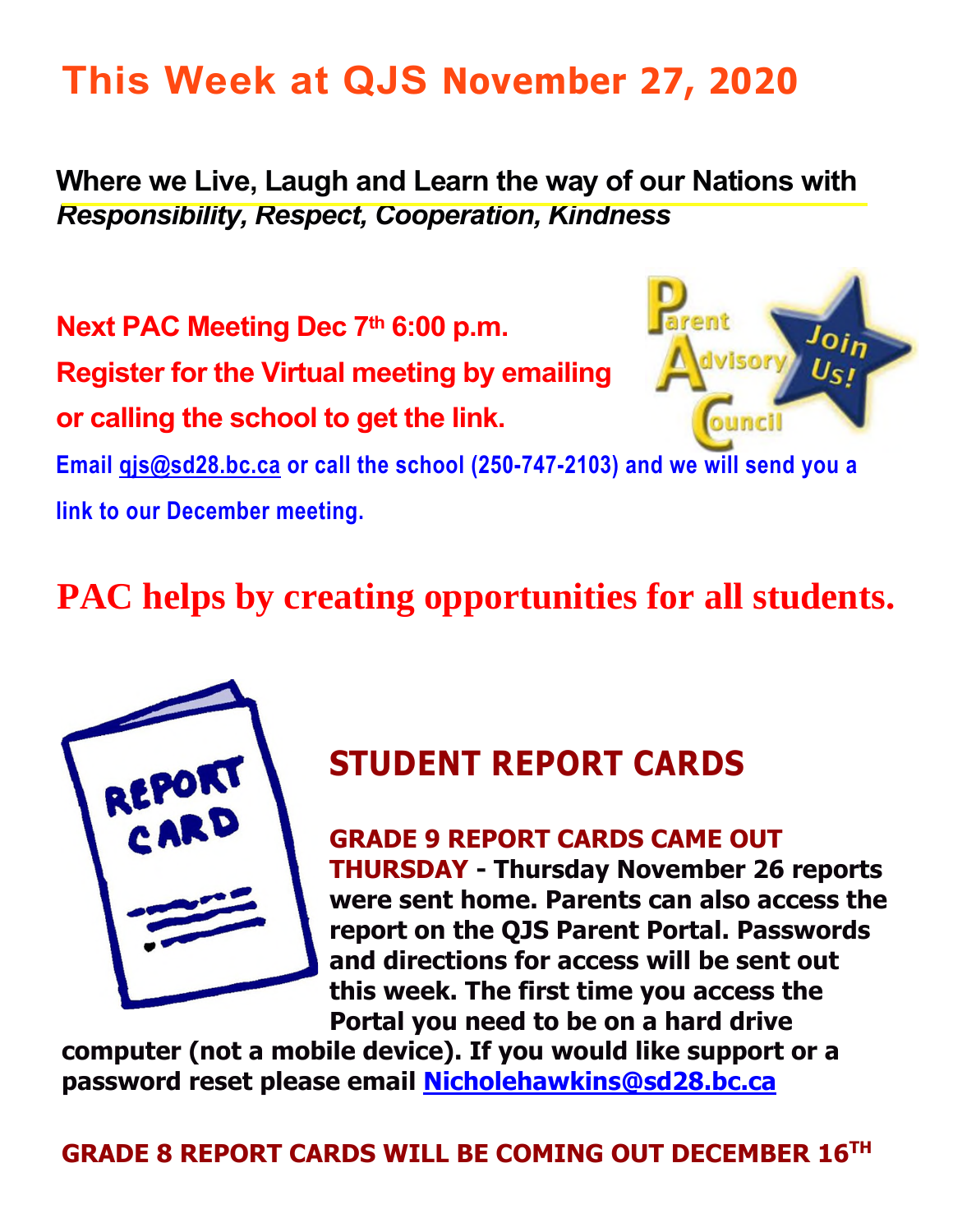### **This Week at QJS November 27, 2020**

**Where we Live, Laugh and Learn the way of our Nations with**  *Responsibility, Respect, Cooperation, Kindness* 

**Next PAC Meeting Dec 7th 6:00 p.m.** 

**Register for the Virtual meeting by emailing** 

**or calling the school to get the link.** 



**Email [qjs@sd28.bc.ca](mailto:qjs@sd28.bc.ca) or call the school (250-747-2103) and we will send you a** 

**link to our December meeting.** 

### **PAC helps by creating opportunities for all students.**



### **STUDENT REPORT CARDS**

**GRADE 9 REPORT CARDS CAME OUT THURSDAY - Thursday November 26 reports were sent home. Parents can also access the report on the QJS Parent Portal. Passwords and directions for access will be sent out this week. The first time you access the Portal you need to be on a hard drive** 

**computer (not a mobile device). If you would like support or a password reset please email [Nicholehawkins@sd28.bc.ca](mailto:Nicholehawkins@sd28.bc.ca)**

**GRADE 8 REPORT CARDS WILL BE COMING OUT DECEMBER 16TH**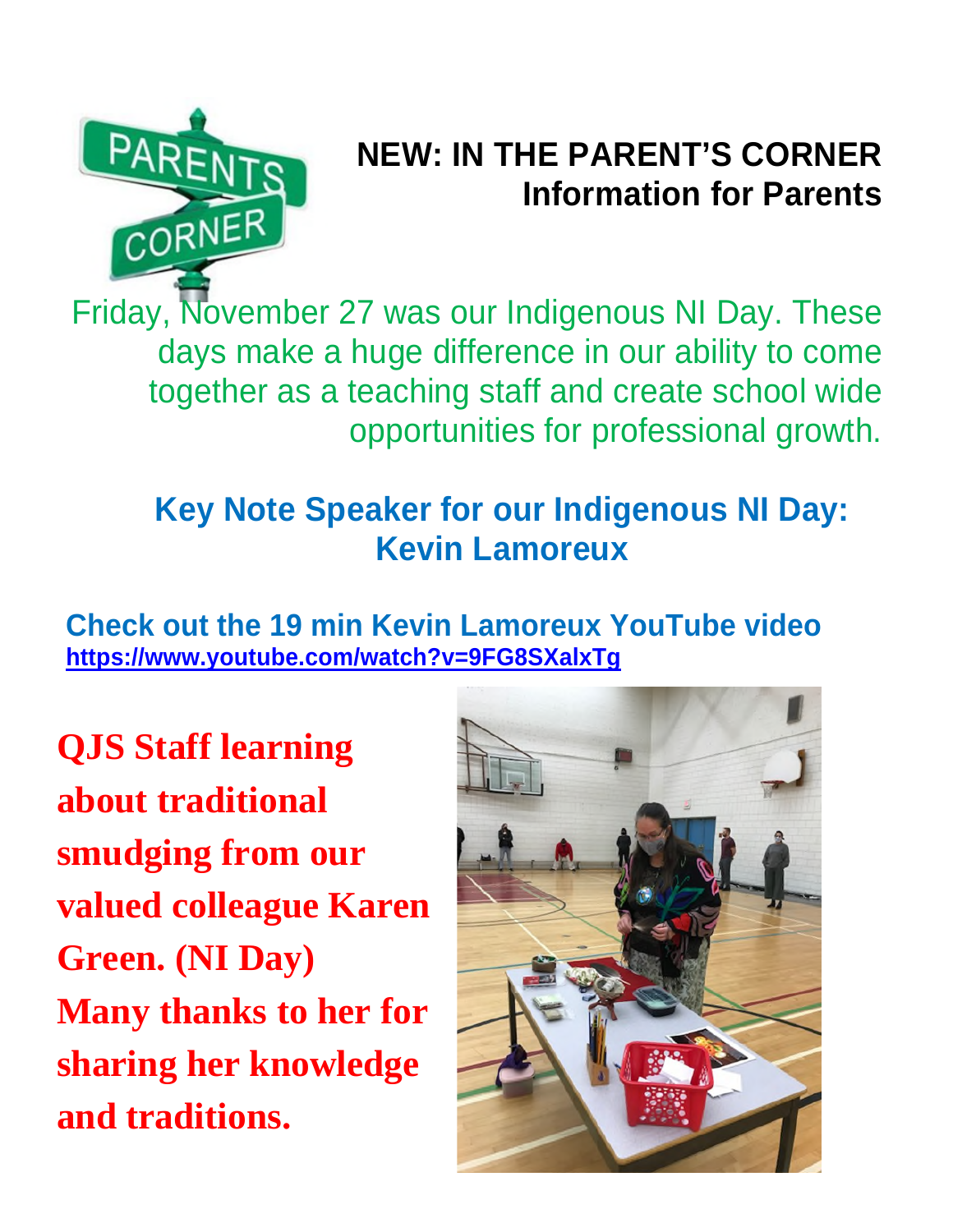

### **NEW: IN THE PARENT'S CORNER Information for Parents**

Friday, November 27 was our Indigenous NI Day. These days make a huge difference in our ability to come together as a teaching staff and create school wide opportunities for professional growth.

### **Key Note Speaker for our Indigenous NI Day: Kevin Lamoreux**

**Check out the 19 min Kevin Lamoreux YouTube video <https://www.youtube.com/watch?v=9FG8SXalxTg>**

**QJS Staff learning about traditional smudging from our valued colleague Karen Green. (NI Day) Many thanks to her for sharing her knowledge and traditions.** 

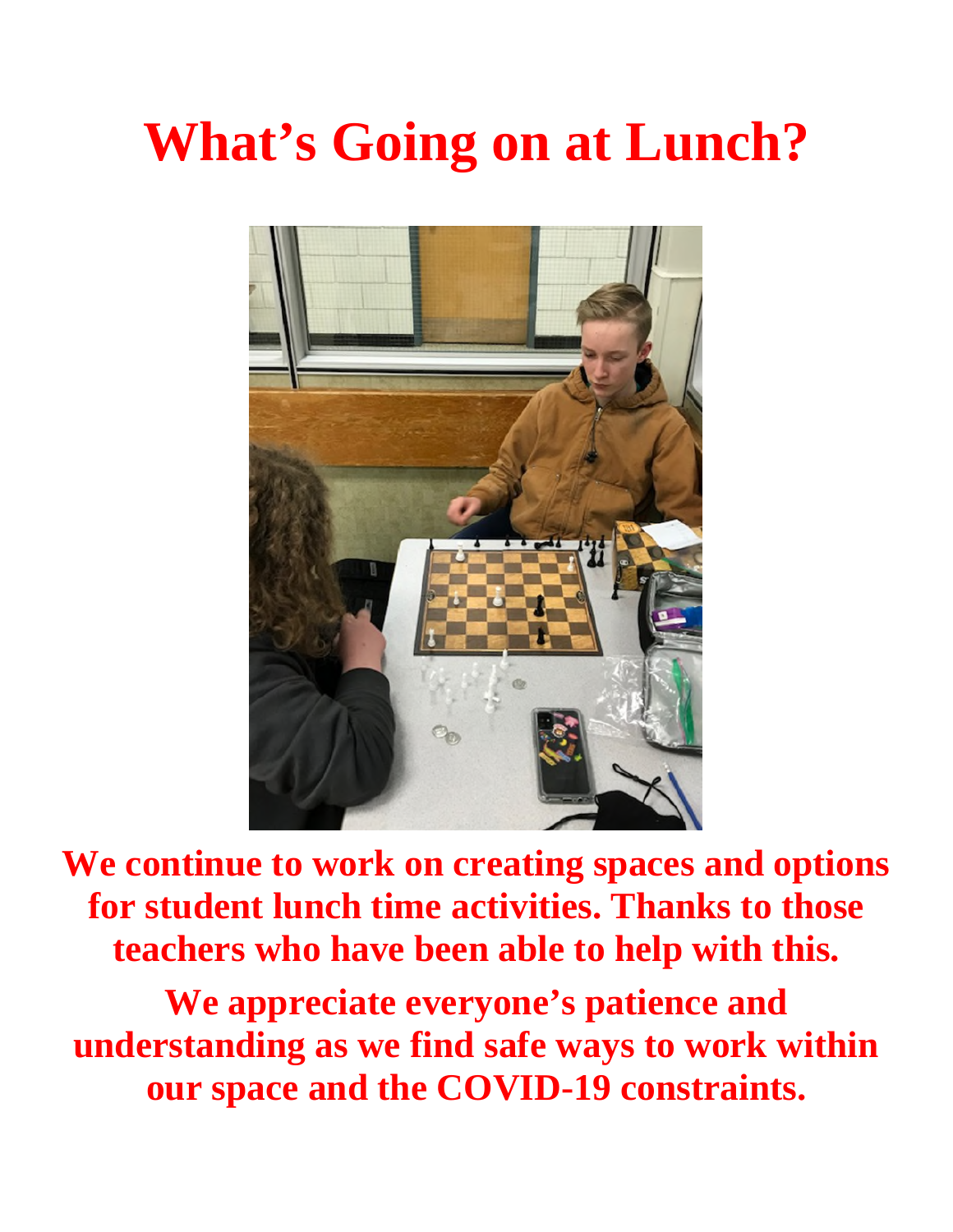# **What's Going on at Lunch?**



**We continue to work on creating spaces and options for student lunch time activities. Thanks to those teachers who have been able to help with this.** 

**We appreciate everyone's patience and understanding as we find safe ways to work within our space and the COVID-19 constraints.**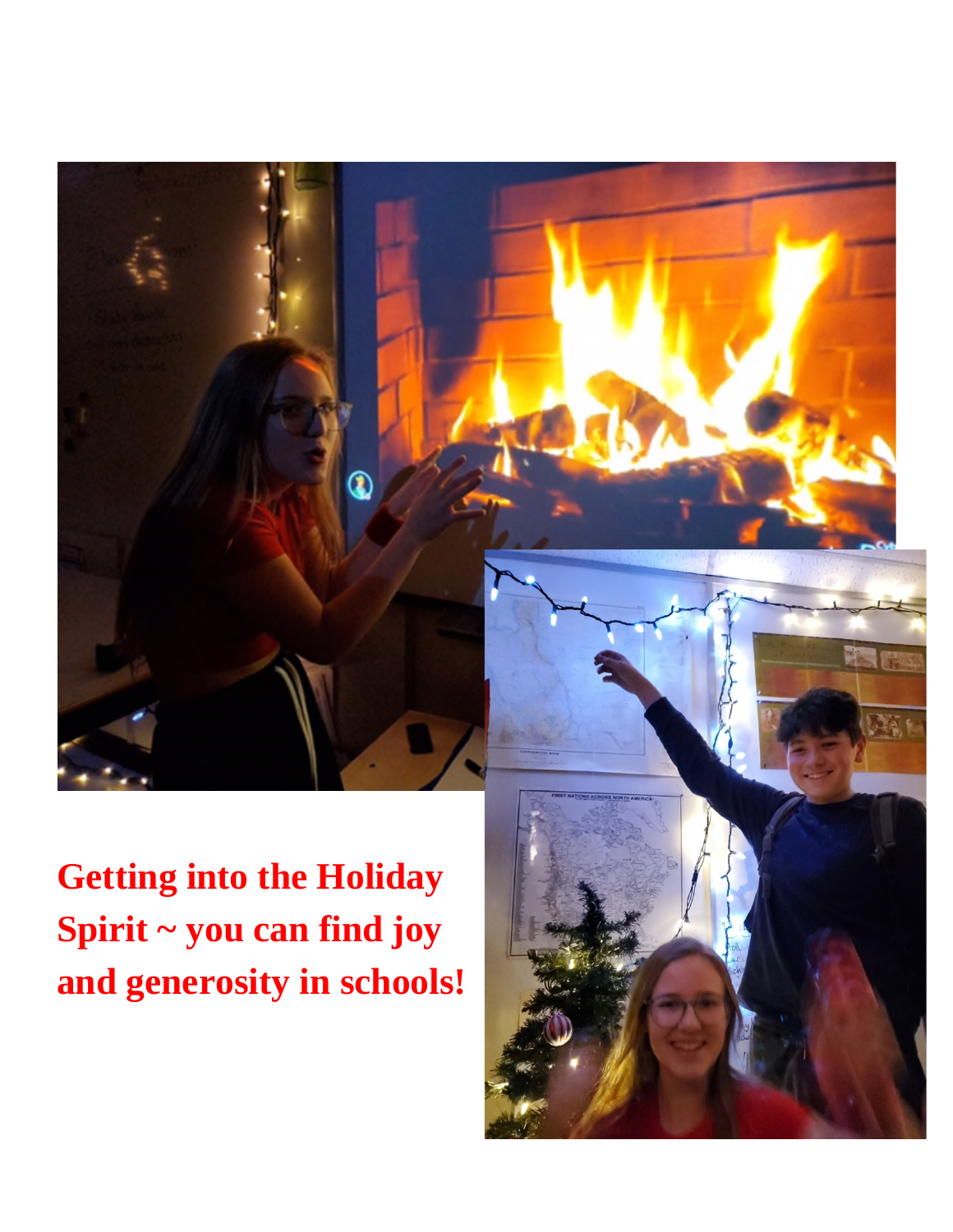

**Getting into the Holiday Spirit ~ you can find joy and generosity in schools!** 

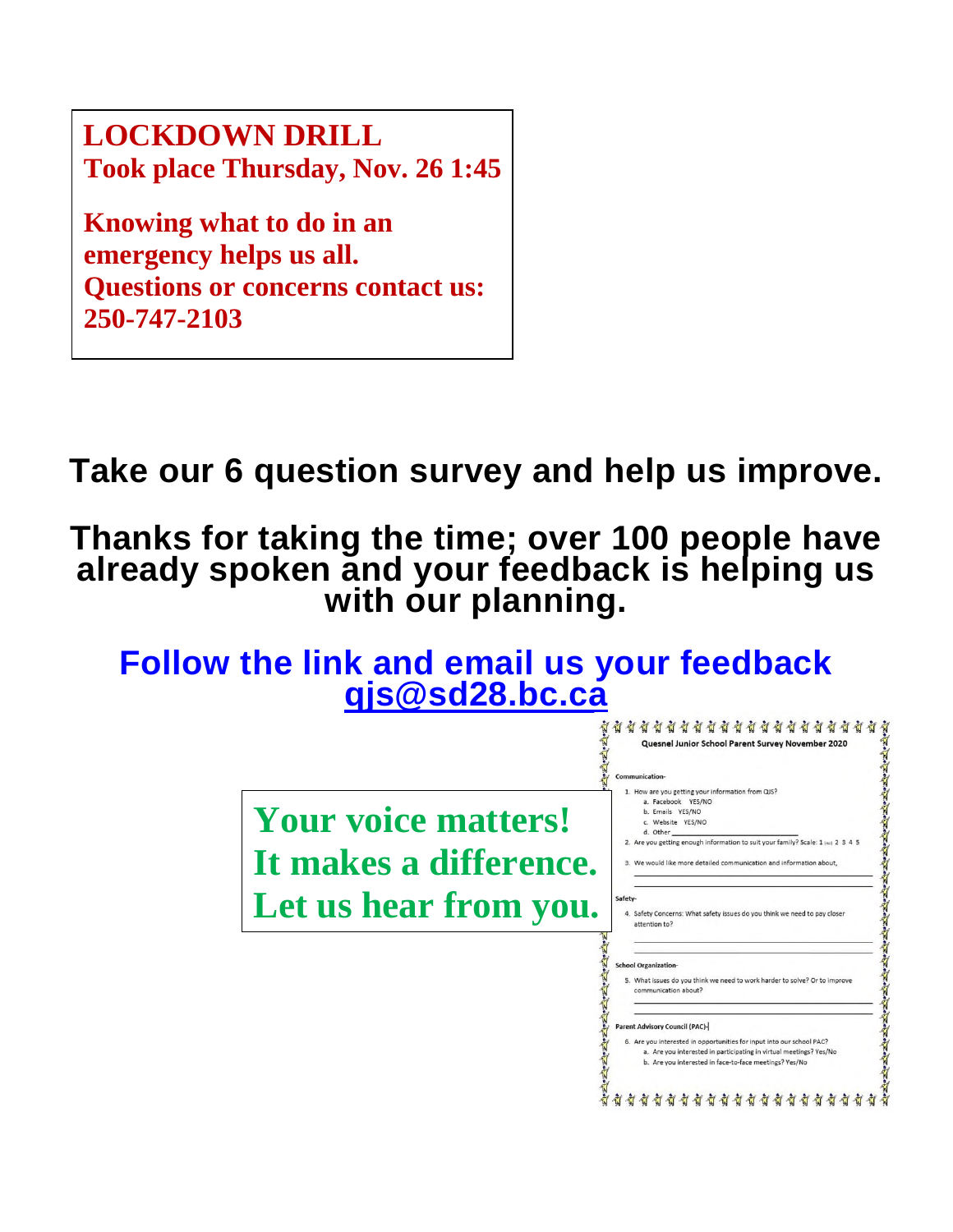**LOCKDOWN DRILL Took place Thursday, Nov. 26 1:45**

**Knowing what to do in an emergency helps us all. Questions or concerns contact us: 250-747-2103** 

**Take our 6 question survey and help us improve.** 

**Thanks for taking the time; over 100 people have already spoken and your feedback is helping us**  with our planning.

**Follow the link and email us your feedback** 

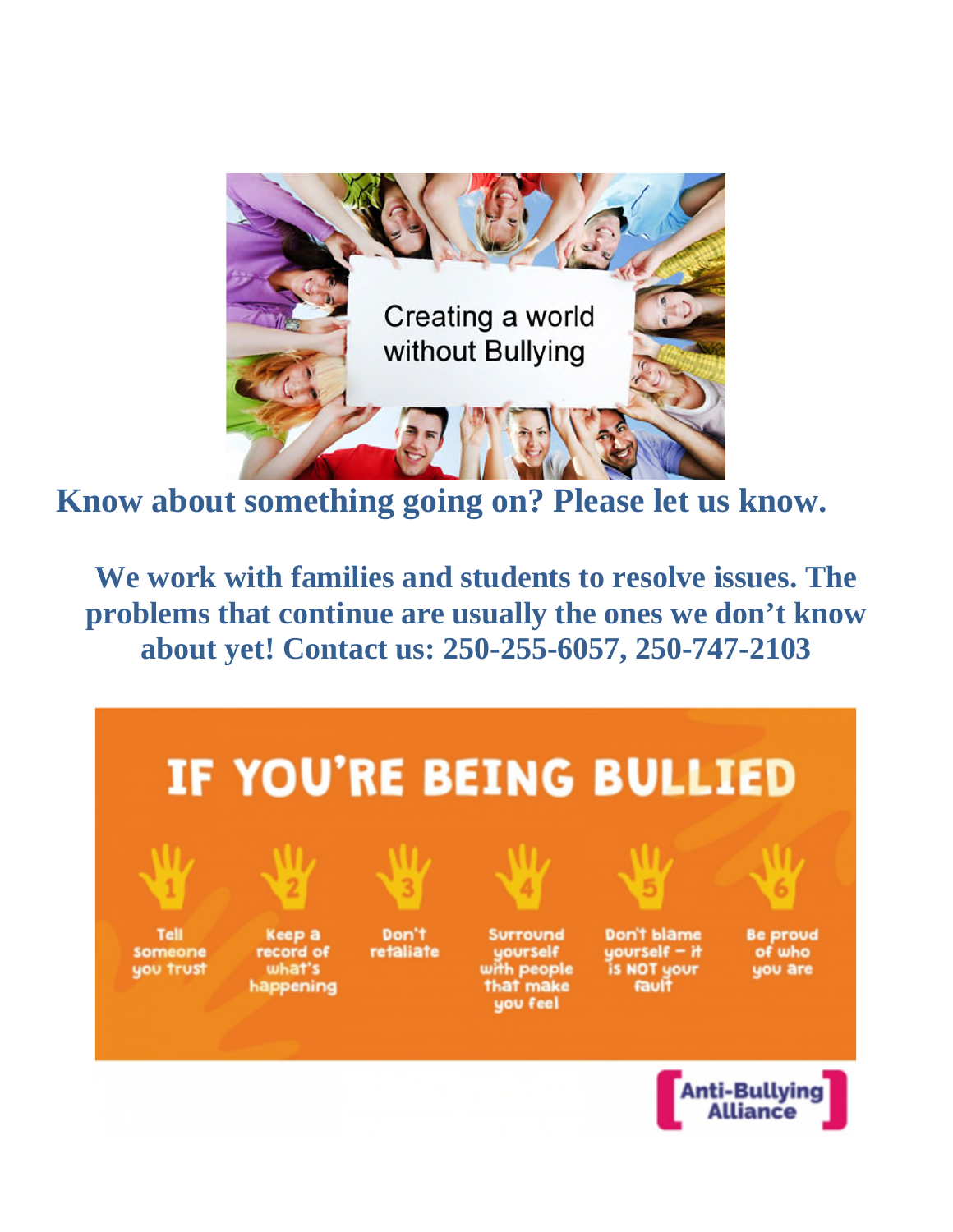

**Know about something going on? Please let us know.** 

**We work with families and students to resolve issues. The problems that continue are usually the ones we don't know about yet! Contact us: 250-255-6057, 250-747-2103**